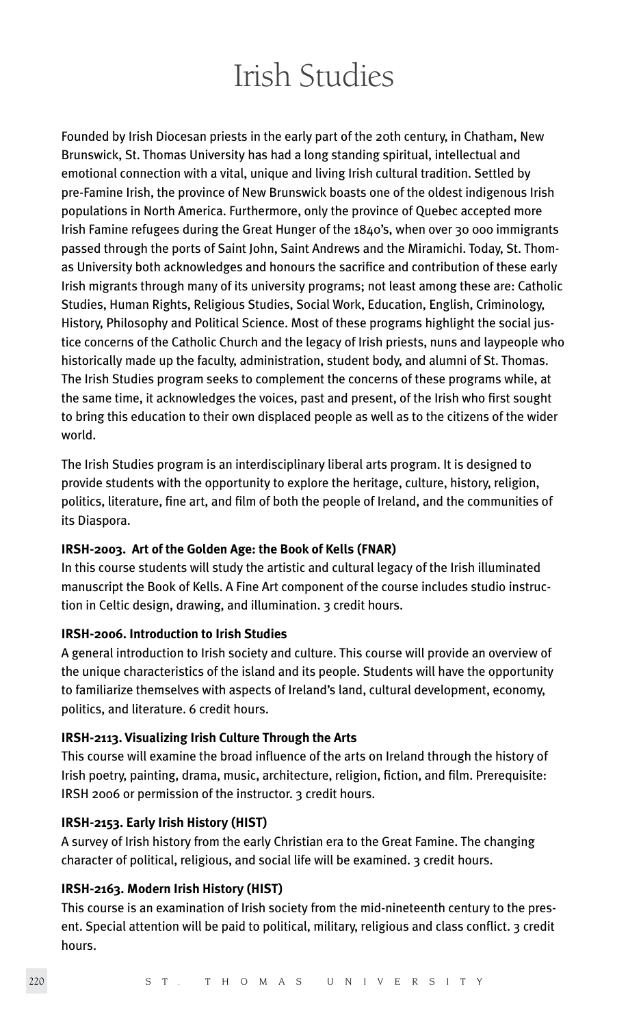# Irish Studies

Founded by Irish Diocesan priests in the early part of the 20th century, in Chatham, New Brunswick, St. Thomas University has had a long standing spiritual, intellectual and emotional connection with a vital, unique and living Irish cultural tradition. Settled by pre-Famine Irish, the province of New Brunswick boasts one of the oldest indigenous Irish populations in North America. Furthermore, only the province of Quebec accepted more Irish Famine refugees during the Great Hunger of the 1840's, when over 30 000 immigrants passed through the ports of Saint John, Saint Andrews and the Miramichi. Today, St. Thomas University both acknowledges and honours the sacrifice and contribution of these early Irish migrants through many of its university programs; not least among these are: Catholic Studies, Human Rights, Religious Studies, Social Work, Education, English, Criminology, History, Philosophy and Political Science. Most of these programs highlight the social justice concerns of the Catholic Church and the legacy of Irish priests, nuns and laypeople who historically made up the faculty, administration, student body, and alumni of St. Thomas. The Irish Studies program seeks to complement the concerns of these programs while, at the same time, it acknowledges the voices, past and present, of the Irish who first sought to bring this education to their own displaced people as well as to the citizens of the wider world.

The Irish Studies program is an interdisciplinary liberal arts program. It is designed to provide students with the opportunity to explore the heritage, culture, history, religion, politics, literature, fine art, and film of both the people of Ireland, and the communities of its Diaspora.

## **IRSH-2003. Art of the Golden Age: the Book of Kells (FNAR)**

In this course students will study the artistic and cultural legacy of the Irish illuminated manuscript the Book of Kells. A Fine Art component of the course includes studio instruction in Celtic design, drawing, and illumination. 3 credit hours.

## **IRSH-2006. Introduction to Irish Studies**

A general introduction to Irish society and culture. This course will provide an overview of the unique characteristics of the island and its people. Students will have the opportunity to familiarize themselves with aspects of Ireland's land, cultural development, economy, politics, and literature. 6 credit hours.

## **IRSH-2113. Visualizing Irish Culture Through the Arts**

This course will examine the broad influence of the arts on Ireland through the history of Irish poetry, painting, drama, music, architecture, religion, fiction, and film. Prerequisite: IRSH 2006 or permission of the instructor. 3 credit hours.

## **IRSH-2153. Early Irish History (HIST)**

A survey of Irish history from the early Christian era to the Great Famine. The changing character of political, religious, and social life will be examined. 3 credit hours.

## **IRSH-2163. Modern Irish History (HIST)**

This course is an examination of Irish society from the mid-nineteenth century to the present. Special attention will be paid to political, military, religious and class conflict. 3 credit hours.